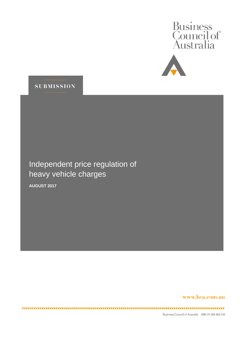





Independent price regulation of heavy vehicle charges

**AUGUST 2017**

www.bca.com.au

Business Council of Australia ABN 75 008 483 216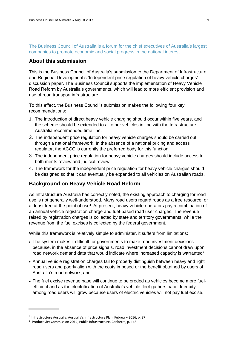The Business Council of Australia is a forum for the chief executives of Australia's largest companies to promote economic and social progress in the national interest.

## **About this submission**

This is the Business Council of Australia's submission to the Department of Infrastructure and Regional Development's 'Independent price regulation of heavy vehicle charges' discussion paper. The Business Council supports the implementation of Heavy Vehicle Road Reform by Australia's governments, which will lead to more efficient provision and use of road transport infrastructure.

To this effect, the Business Council's submission makes the following four key recommendations:

- 1. The introduction of direct heavy vehicle charging should occur within five years, and the scheme should be extended to all other vehicles in line with the Infrastructure Australia recommended time line.
- 2. The independent price regulation for heavy vehicle charges should be carried out through a national framework. In the absence of a national pricing and access regulator, the ACCC is currently the preferred body for this function.
- 3. The independent price regulation for heavy vehicle charges should include access to both merits review and judicial review.
- 4. The framework for the independent price regulation for heavy vehicle charges should be designed so that it can eventually be expanded to all vehicles on Australian roads.

# **Background on Heavy Vehicle Road Reform**

As Infrastructure Australia has correctly noted, the existing approach to charging for road use is not generally well-understood. Many road users regard roads as a free resource, or at least free at the point of use<sup>1</sup>. At present, heavy vehicle operators pay a combination of an annual vehicle registration charge and fuel-based road user charges. The revenue raised by registration charges is collected by state and territory governments, while the revenue from the fuel excises is collected by the federal government.

While this framework is relatively simple to administer, it suffers from limitations:

- The system makes it difficult for governments to make road investment decisions because, in the absence of price signals, road investment decisions cannot draw upon road network demand data that would indicate where increased capacity is warranted<sup>2</sup>,
- Annual vehicle registration charges fail to properly distinguish between heavy and light road users and poorly align with the costs imposed or the benefit obtained by users of Australia's road network, and
- The fuel excise revenue base will continue to be eroded as vehicles become more fuelefficient and as the electrification of Australia's vehicle fleet gathers pace. Inequity among road users will grow because users of electric vehicles will not pay fuel excise.

**<sup>1</sup>** Infrastructure Australia, Australia's Infrastructure Plan, February 2016, p. 87

**<sup>2</sup>** Productivity Commission 2014[, Public Infrastructure,](ttp://www.pc.gov.au/inquiries/completed/infrastructure) Canberra, p. 145.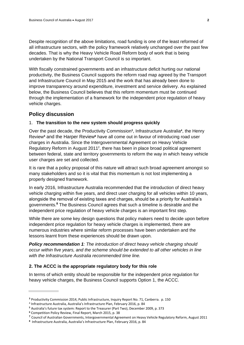Despite recognition of the above limitations, road funding is one of the least reformed of all infrastructure sectors, with the policy framework relatively unchanged over the past few decades. That is why the Heavy Vehicle Road Reform body of work that is being undertaken by the National Transport Council is so important.

With fiscally constrained governments and an infrastructure deficit hurting our national productivity, the Business Council supports the reform road map agreed by the Transport and Infrastructure Council in May 2015 and the work that has already been done to improve transparency around expenditure, investment and service delivery. As explained below, the Business Council believes that this reform momentum must be continued through the implementation of a framework for the independent price regulation of heavy vehicle charges.

### **Policy discussion**

#### 1. **The transition to the new system should progress quickly**

Over the past decade, the Productivity Commission**<sup>3</sup>** , Infrastructure Australia**<sup>4</sup>** , the Henry Review**<sup>5</sup>** and the Harper Review**<sup>6</sup>** have all come out in favour of introducing road user charges in Australia. Since the Intergovernmental Agreement on Heavy Vehicle Regulatory Reform in August 2011**<sup>7</sup>** , there has been in place broad political agreement between federal, state and territory governments to reform the way in which heavy vehicle user charges are set and collected.

It is rare that a policy proposal of this nature will attract such broad agreement amongst so many stakeholders and so it is vital that this momentum is not lost implementing a properly designed framework.

In early 2016, Infrastructure Australia recommended that the introduction of direct heavy vehicle charging within five years, and direct user charging for all vehicles within 10 years, alongside the removal of existing taxes and charges, should be a priority for Australia's governments.**<sup>8</sup>** The Business Council agrees that such a timeline is desirable and the independent price regulation of heavy vehicle charges is an important first step.

While there are some key design questions that policy makers need to decide upon before independent price regulation for heavy vehicle charges is implemented, there are numerous industries where similar reform processes have been undertaken and the lessons learnt from these experiences should be drawn upon.

*Policy recommendation 1: The introduction of direct heavy vehicle charging should occur within five years, and the scheme should be extended to all other vehicles in line with the Infrastructure Australia recommended time line.*

#### **2. The ACCC is the appropriate regulatory body for this role**

In terms of which entity should be responsible for the independent price regulation for heavy vehicle charges, the Business Council supports Option 1, the ACCC.

**<sup>3</sup>** Productivity Commission 2014, Public Infrastructure, Inquiry Report No. 71, Canberra. p. 150

<sup>4</sup> Infrastructure Australia, Australia's Infrastructure Plan, February 2016, p. 84

**<sup>5</sup>** Australia's future tax system: Report to the Treasurer (Part Two), December 2009, p. 373

**<sup>6</sup>** Competition Policy Review, Final Report, March 2015, p. 38

**<sup>7</sup>** Council of Australian Governments, Intergovernmental Agreement on Heavy Vehicle Regulatory Reform, August 2011

**<sup>8</sup>** Infrastructure Australia, Australia's Infrastructure Plan, February 2016, p. 84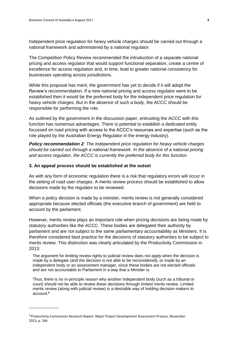Independent price regulation for heavy vehicle charges should be carried out through a national framework and administered by a national regulator.

The Competition Policy Review recommended the introduction of a separate national pricing and access regulator that would support functional separation, create a centre of excellence for access regulation and, in time, lead to greater national consistency for businesses operating across jurisdictions.

While this proposal has merit, the government has yet to decide if it will adopt the Review's recommendation. If a new national pricing and access regulator were to be established then it would be the preferred body for the independent price regulation for heavy vehicle charges. But in the absence of such a body, the ACCC should be responsible for performing the role.

As outlined by the government in the discussion paper, entrusting the ACCC with this function has numerous advantages. There is potential to establish a dedicated entity focussed on road pricing with access to the ACCC's resources and expertise (such as the role played by the Australian Energy Regulator in the energy industry).

*Policy recommendation 2: The independent price regulation for heavy vehicle charges should be carried out through a national framework. In the absence of a national pricing and access regulator, the ACCC is currently the preferred body for this function.*

#### **3. An appeal process should be established at the outset**

As with any form of economic regulation there is a risk that regulatory errors will occur in the setting of road user charges. A merits review process should be established to allow decisions made by the regulator to be reviewed.

When a policy decision is made by a minister, merits review is not generally considered appropriate because elected officials (the executive branch of government) are held to account by the parliament.

However, merits review plays an important role when pricing decisions are being made by statutory authorities like the ACCC. These bodies are delegated their authority by parliament and are not subject to the same parliamentary accountability as Ministers. It is therefore considered best practice for the decisions of statutory authorities to be subject to merits review. This distinction was clearly articulated by the Productivity Commission in 2013:

The argument for limiting review rights to judicial review does not apply when the decision is made by a delegate (and the decision is not able to be reconsidered), or made by an independent body or an assessment manager, since these bodies are not elected officials and are not accountable to Parliament in a way that a Minister is.

Thus, there is no in-principle reason why another independent body (such as a tribunal or court) should not be able to review these decisions through limited merits review. Limited merits review (along with judicial review) is a desirable way of holding decision makers to account.**<sup>9</sup>**

<sup>9</sup> Productivity Commission Research Report. Major Project Development Assessment Process, November 2013, p. 266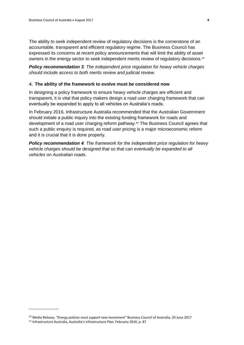The ability to seek independent review of regulatory decisions is the cornerstone of an accountable, transparent and efficient regulatory regime. The Business Council has expressed its concerns at recent policy announcements that will limit the ability of asset owners in the energy sector to seek independent merits review of regulatory decisions.<sup>10</sup>

*Policy recommendation 3: The independent price regulation for heavy vehicle charges should include access to both merits review and judicial review.*

#### **4. The ability of the framework to evolve must be considered now**

In designing a policy framework to ensure heavy vehicle charges are efficient and transparent, it is vital that policy makers design a road user charging framework that can eventually be expanded to apply to all vehicles on Australia's roads.

In February 2016, Infrastructure Australia recommended that the Australian Government should initiate a public inquiry into the existing funding framework for roads and development of a road user charging reform pathway.**<sup>11</sup>** The Business Council agrees that such a public enquiry is required, as road user pricing is a major microeconomic reform and it is crucial that it is done properly.

*Policy recommendation 4: The framework for the independent price regulation for heavy vehicle charges should be designed that so that can eventually be expanded to all vehicles on Australian roads.*

<sup>10</sup> Media Release, *"Energy policies must support new investment"* Business Council of Australia, 20 June 2017

<sup>11</sup> Infrastructure Australia, Australia's Infrastructure Plan, February 2016, p. 87